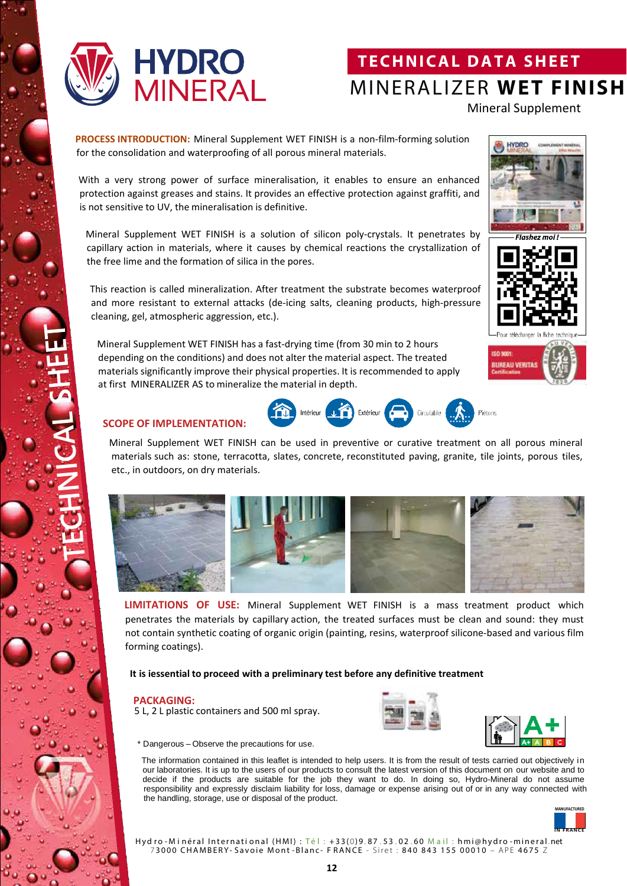

# **TECHNICAL DATA SHEET** MINERALIZER **WET FINISH**

Mineral Supplement

**PROCESS INTRODUCTION:** Mineral Supplement WET FINISH is a non-film-forming solution for the consolidation and waterproofing of all porous mineral materials.

With a very strong power of surface mineralisation, it enables to ensure an enhanced protection against greases and stains. It provides an effective protection against graffiti, and is not sensitive to UV, the mineralisation is definitive.

Mineral Supplement WET FINISH is a solution of silicon poly-crystals. It penetrates by capillary action in materials, where it causes by chemical reactions the crystallization of the free lime and the formation of silica in the pores.

This reaction is called mineralization. After treatment the substrate becomes waterproof and more resistant to external attacks (de-icing salts, cleaning products, high-pressure cleaning, gel, atmospheric aggression, etc.).

Mineral Supplement WET FINISH has a fast-drying time (from 30 min to 2 hours depending on the conditions) and does not alter the material aspect. The treated materials significantly improve their physical properties. It is recommended to apply at first MINERALIZER AS to mineralize the material in depth.







### **SCOPE OF IMPLEMENTATION:**



Intérieur J. Extérieur



**LIMITATIONS OF USE:** Mineral Supplement WET FINISH is a mass treatment product which penetrates the materials by capillary action, the treated surfaces must be clean and sound: they must not contain synthetic coating of organic origin (painting, resins, waterproof silicone-based and various film forming coatings).

### **It is iessential to proceed with a preliminary test before any definitive treatment**

#### **PACKAGING:**

5 L, 2 L plastic containers and 500 ml spray.



Circulable

Piétons



\* Dangerous – Observe the precautions for use.

The information contained in this leaflet is intended to help users. It is from the result of tests carried out objectively in our laboratories. It is up to the users of our products to consult the latest version of this document on our website and to decide if the products are suitable for the job they want to do. In doing so, Hydro-Mineral do not assume responsibility and expressly disclaim liability for loss, damage or expense arising out of or in any way connected with the handling, storage, use or disposal of the product.



Hydro-Minéral International (HMI) : Tél : +33(0)9.87.53.02.60 Mail : hmi@hydro-mineral.net 7 3000 CHAMBERY- Savoie Mont -Blanc- F RANCE - Siret : 840 843 155 00010 – APE 4675 Z